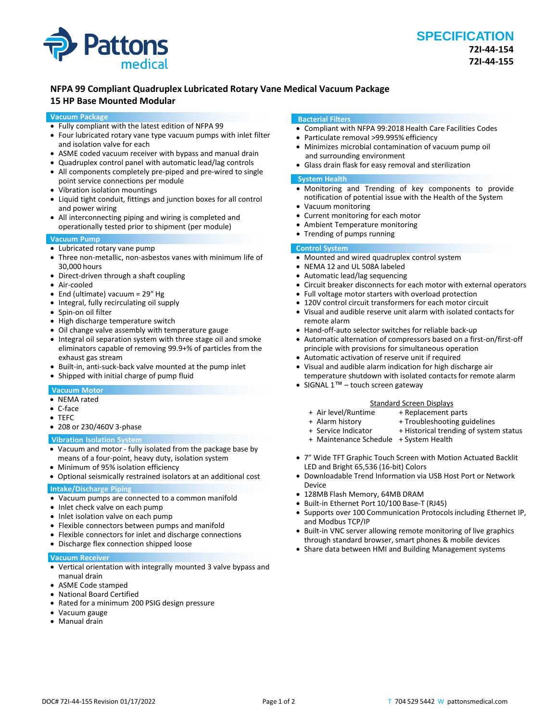

# **NFPA 99 Compliant Quadruplex Lubricated Rotary Vane Medical Vacuum Package**

# **15 HP Base Mounted Modular**

#### **Vacuum Package**

- Fully compliant with the latest edition of NFPA 99
- Four lubricated rotary vane type vacuum pumps with inlet filter and isolation valve for each
- ASME coded vacuum receiver with bypass and manual drain
- Quadruplex control panel with automatic lead/lag controls
- All components completely pre-piped and pre-wired to single point service connections per module
- Vibration isolation mountings
- Liquid tight conduit, fittings and junction boxes for all control and power wiring
- All interconnecting piping and wiring is completed and operationally tested prior to shipment (per module)

#### **Vacuum Pump**

- Lubricated rotary vane pump
- Three non-metallic, non-asbestos vanes with minimum life of 30,000 hours
- Direct-driven through a shaft coupling
- Air-cooled
- End (ultimate) vacuum = 29" Hg
- Integral, fully recirculating oil supply
- Spin-on oil filter
- High discharge temperature switch
- Oil change valve assembly with temperature gauge
- Integral oil separation system with three stage oil and smoke eliminators capable of removing 99.9+% of particles from the exhaust gas stream
- Built-in, anti-suck-back valve mounted at the pump inlet
- Shipped with initial charge of pump fluid

## **Vacuum Motor**

- NEMA rated
- C-face
- TEFC
- 208 or 230/460V 3-phase

#### **Vibration Isolation System**

- Vacuum and motor fully isolated from the package base by means of a four-point, heavy duty, isolation system
- Minimum of 95% isolation efficiency
- Optional seismically restrained isolators at an additional cost

### **Intake/Discharge Piping**

- Vacuum pumps are connected to a common manifold
- Inlet check valve on each pump
- Inlet isolation valve on each pump
- Flexible connectors between pumps and manifold
- Flexible connectors for inlet and discharge connections
- Discharge flex connection shipped loose

#### **Vacuum Receiver**

- Vertical orientation with integrally mounted 3 valve bypass and manual drain
- ASME Code stamped
- National Board Certified
- Rated for a minimum 200 PSIG design pressure
- Vacuum gauge
- Manual drain

#### **Bacterial Filters**

- Compliant with NFPA 99:2018 Health Care Facilities Codes
- Particulate removal >99.995% efficiency
- Minimizes microbial contamination of vacuum pump oil and surrounding environment
- Glass drain flask for easy removal and sterilization

#### **System Health**

- Monitoring and Trending of key components to provide notification of potential issue with the Health of the System
- Vacuum monitoring
- Current monitoring for each motor
- Ambient Temperature monitoring
- Trending of pumps running

#### **Control System**

- Mounted and wired quadruplex control system
- NEMA 12 and UL 508A labeled
- Automatic lead/lag sequencing
- Circuit breaker disconnects for each motor with external operators
- Full voltage motor starters with overload protection
- 120V control circuit transformers for each motor circuit
- Visual and audible reserve unit alarm with isolated contacts for remote alarm
- Hand-off-auto selector switches for reliable back-up
- Automatic alternation of compressors based on a first-on/first-off principle with provisions for simultaneous operation
- Automatic activation of reserve unit if required • Visual and audible alarm indication for high discharge air
- temperature shutdown with isolated contacts for remote alarm
- SIGNAL  $1^{\text{TM}}$  touch screen gateway

- Standard Screen Displays<br>Air level/Runtime + Replacement p + + Replacement parts
- 
- + Alarm history + Troubleshooting guidelines<br>+ Service Indicator + Historical trending of syster + Historical trending of system status
- + Maintenance Schedule + System Health
- 7" Wide TFT Graphic Touch Screen with Motion Actuated Backlit LED and Bright 65,536 (16-bit) Colors
- Downloadable Trend Information via USB Host Port or Network Device
- 128MB Flash Memory, 64MB DRAM
- Built-in Ethernet Port 10/100 Base-T (RJ45)
- Supports over 100 Communication Protocols including Ethernet IP, and Modbus TCP/IP
- Built-in VNC server allowing remote monitoring of live graphics through standard browser, smart phones & mobile devices
- Share data between HMI and Building Management systems